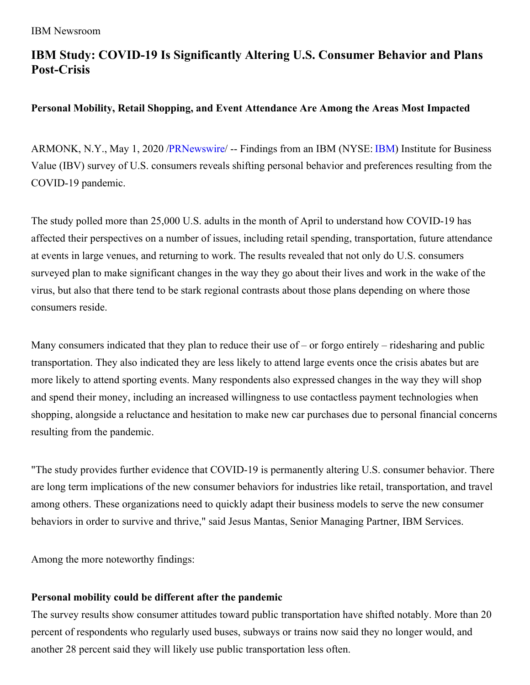# **IBM Study: COVID-19 Is Significantly Altering U.S. Consumer Behavior and Plans Post-Crisis**

# **Personal Mobility, Retail Shopping, and Event Attendance Are Among the Areas Most Impacted**

ARMONK, N.Y., May 1, 2020 [/PRNewswire](http://www.prnewswire.com/)/ -- Findings from an [IBM](https://c212.net/c/link/?t=0&l=en&o=2792139-1&h=4227214371&u=http%3A%2F%2Fwww.ibm.com%2Finvestor&a=IBM) (NYSE: IBM) Institute for Business Value (IBV) survey of U.S. consumers reveals shifting personal behavior and preferences resulting from the COVID-19 pandemic.

The study polled more than 25,000 U.S. adults in the month of April to understand how COVID-19 has affected their perspectives on a number of issues, including retail spending, transportation, future attendance at events in large venues, and returning to work. The results revealed that not only do U.S. consumers surveyed plan to make significant changes in the way they go about their lives and work in the wake of the virus, but also that there tend to be stark regional contrasts about those plans depending on where those consumers reside.

Many consumers indicated that they plan to reduce their use of – or forgo entirely – ridesharing and public transportation. They also indicated they are less likely to attend large events once the crisis abates but are more likely to attend sporting events. Many respondents also expressed changes in the way they will shop and spend their money, including an increased willingness to use contactless payment technologies when shopping, alongside a reluctance and hesitation to make new car purchases due to personal financial concerns resulting from the pandemic.

"The study provides further evidence that COVID-19 is permanently altering U.S. consumer behavior. There are long term implications of the new consumer behaviors for industries like retail, transportation, and travel among others. These organizations need to quickly adapt their business models to serve the new consumer behaviors in order to survive and thrive," said Jesus Mantas, Senior Managing Partner, IBM Services.

Among the more noteworthy findings:

# **Personal mobility could be different after the pandemic**

The survey results show consumer attitudes toward public transportation have shifted notably. More than 20 percent of respondents who regularly used buses, subways or trains now said they no longer would, and another 28 percent said they will likely use public transportation less often.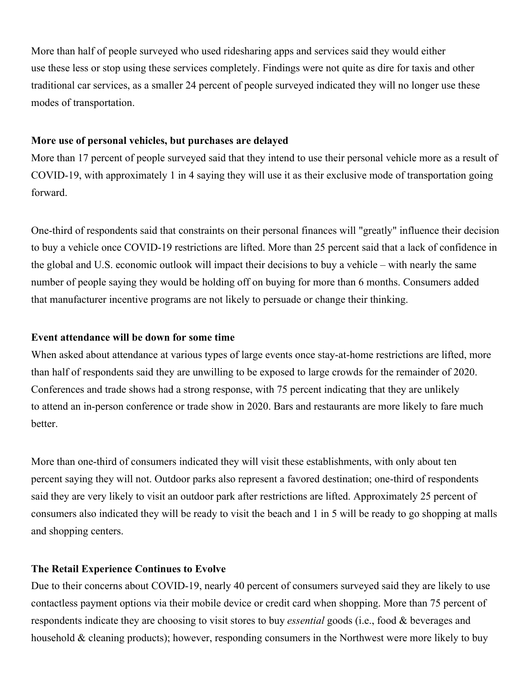More than half of people surveyed who used ridesharing apps and services said they would either use these less or stop using these services completely. Findings were not quite as dire for taxis and other traditional car services, as a smaller 24 percent of people surveyed indicated they will no longer use these modes of transportation.

#### **More use of personal vehicles, but purchases are delayed**

More than 17 percent of people surveyed said that they intend to use their personal vehicle more as a result of COVID-19, with approximately 1 in 4 saying they will use it as their exclusive mode of transportation going forward.

One-third of respondents said that constraints on their personal finances will "greatly" influence their decision to buy a vehicle once COVID-19 restrictions are lifted. More than 25 percent said that a lack of confidence in the global and U.S. economic outlook will impact their decisions to buy a vehicle – with nearly the same number of people saying they would be holding off on buying for more than 6 months. Consumers added that manufacturer incentive programs are not likely to persuade or change their thinking.

#### **Event attendance will be down for some time**

When asked about attendance at various types of large events once stay-at-home restrictions are lifted, more than half of respondents said they are unwilling to be exposed to large crowds for the remainder of 2020. Conferences and trade shows had a strong response, with 75 percent indicating that they are unlikely to attend an in-person conference or trade show in 2020. Bars and restaurants are more likely to fare much better.

More than one-third of consumers indicated they will visit these establishments, with only about ten percent saying they will not. Outdoor parks also represent a favored destination; one-third of respondents said they are very likely to visit an outdoor park after restrictions are lifted. Approximately 25 percent of consumers also indicated they will be ready to visit the beach and 1 in 5 will be ready to go shopping at malls and shopping centers.

# **The Retail Experience Continues to Evolve**

Due to their concerns about COVID-19, nearly 40 percent of consumers surveyed said they are likely to use contactless payment options via their mobile device or credit card when shopping. More than 75 percent of respondents indicate they are choosing to visit stores to buy *essential* goods (i.e., food & beverages and household & cleaning products); however, responding consumers in the Northwest were more likely to buy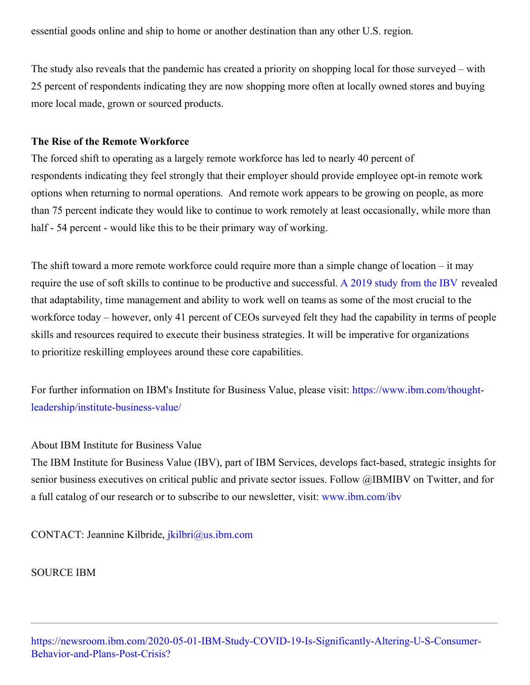essential goods online and ship to home or another destination than any other U.S. region.

The study also reveals that the pandemic has created a priority on shopping local for those surveyed – with 25 percent of respondents indicating they are now shopping more often at locally owned stores and buying more local made, grown or sourced products.

# **The Rise of the Remote Workforce**

The forced shift to operating as a largely remote workforce has led to nearly 40 percent of respondents indicating they feel strongly that their employer should provide employee opt-in remote work options when returning to normal operations. And remote work appears to be growing on people, as more than 75 percent indicate they would like to continue to work remotely at least occasionally, while more than half - 54 percent - would like this to be their primary way of working.

The shift toward a more remote workforce could require more than a simple change of location – it may require the use of soft skills to continue to be productive and successful. A 2019 [study](https://c212.net/c/link/?t=0&l=en&o=2792139-1&h=1218587906&u=https%3A%2F%2Fwww.ibm.com%2Fthought-leadership%2Finstitute-business-value%2Freport%2Fclosing-skills-gap&a=A+2019+study+from+the+IBV) from the IBV revealed that adaptability, time management and ability to work well on teams as some of the most crucial to the workforce today – however, only 41 percent of CEOs surveyed felt they had the capability in terms of people skills and resources required to execute their business strategies. It will be imperative for organizations to prioritize reskilling employees around these core capabilities.

For further information on IBM's Institute for Business Value, please visit: https://www.ibm.com/thought[leadership/institute-business-value/](https://c212.net/c/link/?t=0&l=en&o=2792139-1&h=2102581223&u=https%3A%2F%2Fwww.ibm.com%2Fthought-leadership%2Finstitute-business-value%2F&a=https%3A%2F%2Fwww.ibm.com%2Fthought-leadership%2Finstitute-business-value%2F)

# About IBM Institute for Business Value

The IBM Institute for Business Value (IBV), part of IBM Services, develops fact-based, strategic insights for senior business executives on critical public and private sector issues. Follow @IBMIBV on Twitter, and for a full catalog of our research or to subscribe to our newsletter, visit: [www.ibm.com/ibv](https://c212.net/c/link/?t=0&l=en&o=2792139-1&h=1174794053&u=http%3A%2F%2Fwww.ibm.com%2Fibv&a=www.ibm.com%2Fibv)

CONTACT: Jeannine Kilbride, [jkilbri@us.ibm.com](mailto:jkilbri@us.ibm.com)

SOURCE IBM